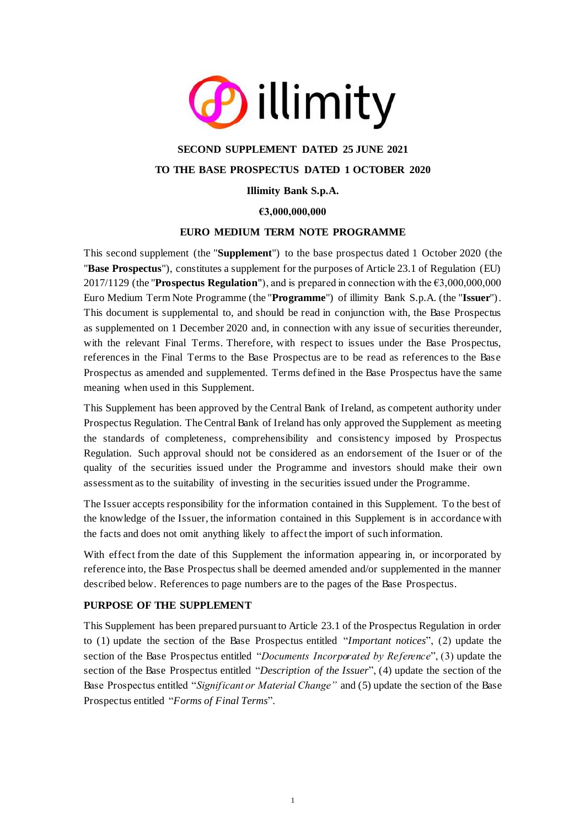

# **SECOND SUPPLEMENT DATED 25 JUNE 2021 TO THE BASE PROSPECTUS DATED 1 OCTOBER 2020**

## **Illimity Bank S.p.A.**

**€3,000,000,000**

### **EURO MEDIUM TERM NOTE PROGRAMME**

This second supplement (the "**Supplement**") to the base prospectus dated 1 October 2020 (the "**Base Prospectus**"), constitutes a supplement for the purposes of Article 23.1 of Regulation (EU) 2017/1129 (the "**Prospectus Regulation**"), and is prepared in connection with the €3,000,000,000 Euro Medium Term Note Programme (the "**Programme**") of illimity Bank S.p.A. (the "**Issuer**"). This document is supplemental to, and should be read in conjunction with, the Base Prospectus as supplemented on 1 December 2020 and, in connection with any issue of securities thereunder, with the relevant Final Terms. Therefore, with respect to issues under the Base Prospectus, references in the Final Terms to the Base Prospectus are to be read as references to the Base Prospectus as amended and supplemented. Terms defined in the Base Prospectus have the same meaning when used in this Supplement.

This Supplement has been approved by the Central Bank of Ireland, as competent authority under Prospectus Regulation. The Central Bank of Ireland has only approved the Supplement as meeting the standards of completeness, comprehensibility and consistency imposed by Prospectus Regulation. Such approval should not be considered as an endorsement of the Isuer or of the quality of the securities issued under the Programme and investors should make their own assessment as to the suitability of investing in the securities issued under the Programme.

The Issuer accepts responsibility for the information contained in this Supplement. To the best of the knowledge of the Issuer, the information contained in this Supplement is in accordance with the facts and does not omit anything likely to affect the import of such information.

With effect from the date of this Supplement the information appearing in, or incorporated by reference into, the Base Prospectus shall be deemed amended and/or supplemented in the manner described below. References to page numbers are to the pages of the Base Prospectus.

## **PURPOSE OF THE SUPPLEMENT**

This Supplement has been prepared pursuant to Article 23.1 of the Prospectus Regulation in order to (1) update the section of the Base Prospectus entitled "*Important notices*", (2) update the section of the Base Prospectus entitled "*Documents Incorporated by Reference*", (3) update the section of the Base Prospectus entitled "*Description of the Issuer*", (4) update the section of the Base Prospectus entitled "*Significant or Material Change"* and (5) update the section of the Base Prospectus entitled "*Forms of Final Terms*".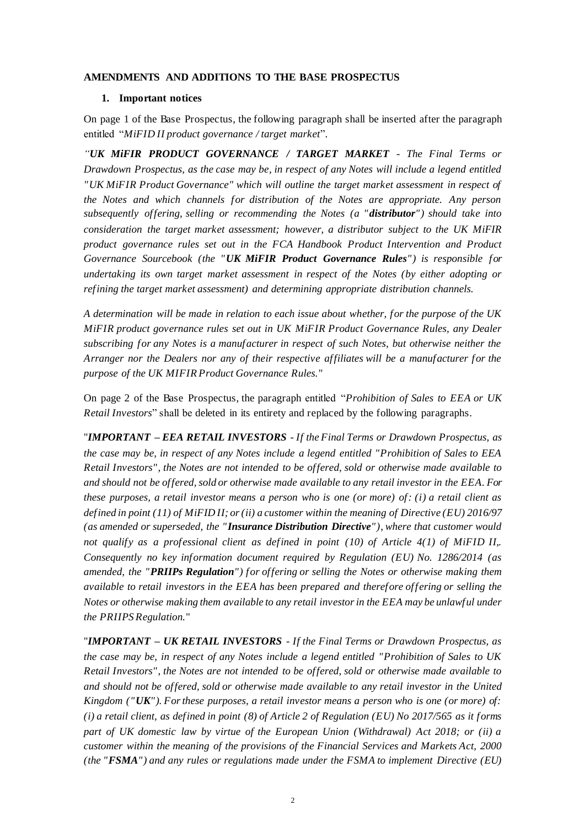#### **AMENDMENTS AND ADDITIONS TO THE BASE PROSPECTUS**

#### **1. Important notices**

On page 1 of the Base Prospectus, the following paragraph shall be inserted after the paragraph entitled "*MiFID II product governance / target market*".

*"UK MiFIR PRODUCT GOVERNANCE / TARGET MARKET - The Final Terms or Drawdown Prospectus, as the case may be, in respect of any Notes will include a legend entitled "UK MiFIR Product Governance" which will outline the target market assessment in respect of the Notes and which channels for distribution of the Notes are appropriate. Any person subsequently offering, selling or recommending the Notes (a "distributor") should take into consideration the target market assessment; however, a distributor subject to the UK MiFIR product governance rules set out in the FCA Handbook Product Intervention and Product Governance Sourcebook (the "UK MiFIR Product Governance Rules") is responsible for undertaking its own target market assessment in respect of the Notes (by either adopting or refining the target market assessment) and determining appropriate distribution channels.* 

*A determination will be made in relation to each issue about whether, for the purpose of the UK MiFIR product governance rules set out in UK MiFIR Product Governance Rules, any Dealer subscribing for any Notes is a manufacturer in respect of such Notes, but otherwise neither the Arranger nor the Dealers nor any of their respective affiliates will be a manufacturer for the purpose of the UK MIFIR Product Governance Rules.*"

On page 2 of the Base Prospectus, the paragraph entitled "*Prohibition of Sales to EEA or UK Retail Investors*" shall be deleted in its entirety and replaced by the following paragraphs.

"*IMPORTANT – EEA RETAIL INVESTORS - If the Final Terms or Drawdown Prospectus, as the case may be, in respect of any Notes include a legend entitled "Prohibition of Sales to EEA Retail Investors", the Notes are not intended to be offered, sold or otherwise made available to and should not be offered, sold or otherwise made available to any retail investor in the EEA. For these purposes, a retail investor means a person who is one (or more) of: (i) a retail client as defined in point (11) of MiFID II; or (ii) a customer within the meaning of Directive (EU) 2016/97 (as amended or superseded, the "Insurance Distribution Directive"), where that customer would not qualify as a professional client as defined in point (10) of Article 4(1) of MiFID II,. Consequently no key information document required by Regulation (EU) No. 1286/2014 (as amended, the "PRIIPs Regulation") for offering or selling the Notes or otherwise making them available to retail investors in the EEA has been prepared and therefore offering or selling the Notes or otherwise making them available to any retail investor in the EEA may be unlawful under the PRIIPS Regulation.*"

"*IMPORTANT – UK RETAIL INVESTORS - If the Final Terms or Drawdown Prospectus, as the case may be, in respect of any Notes include a legend entitled "Prohibition of Sales to UK Retail Investors", the Notes are not intended to be offered, sold or otherwise made available to and should not be offered, sold or otherwise made available to any retail investor in the United Kingdom ("UK"). For these purposes, a retail investor means a person who is one (or more) of: (i) a retail client, as defined in point (8) of Article 2 of Regulation (EU) No 2017/565 as it forms part of UK domestic law by virtue of the European Union (Withdrawal) Act 2018; or (ii) a customer within the meaning of the provisions of the Financial Services and Markets Act, 2000 (the "FSMA") and any rules or regulations made under the FSMA to implement Directive (EU)*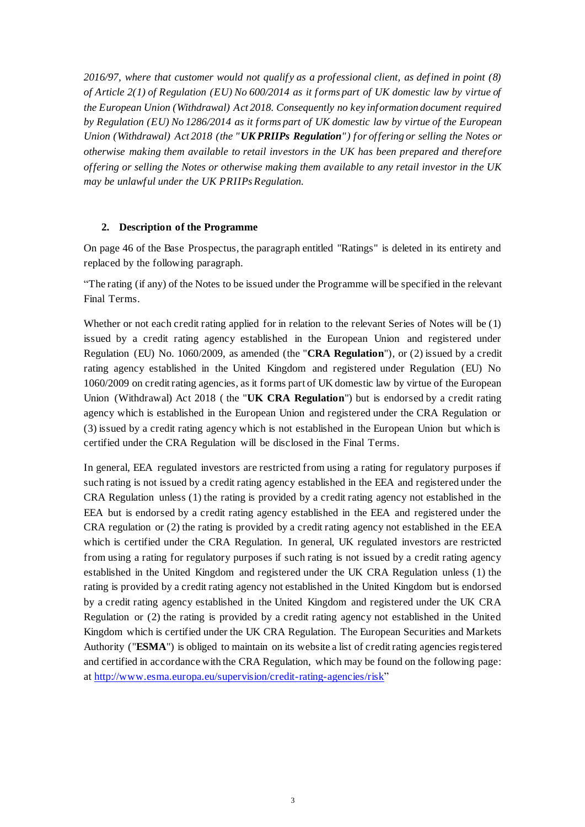*2016/97, where that customer would not qualify as a professional client, as defined in point (8) of Article 2(1) of Regulation (EU) No 600/2014 as it forms part of UK domestic law by virtue of the European Union (Withdrawal) Act 2018. Consequently no key information document required by Regulation (EU) No 1286/2014 as it forms part of UK domestic law by virtue of the European Union (Withdrawal) Act 2018 (the "UK PRIIPs Regulation") for offering or selling the Notes or otherwise making them available to retail investors in the UK has been prepared and therefore offering or selling the Notes or otherwise making them available to any retail investor in the UK may be unlawful under the UK PRIIPs Regulation.*

#### **2. Description of the Programme**

On page 46 of the Base Prospectus, the paragraph entitled "Ratings" is deleted in its entirety and replaced by the following paragraph.

"The rating (if any) of the Notes to be issued under the Programme will be specified in the relevant Final Terms.

Whether or not each credit rating applied for in relation to the relevant Series of Notes will be (1) issued by a credit rating agency established in the European Union and registered under Regulation (EU) No. 1060/2009, as amended (the "**CRA Regulation**"), or (2) issued by a credit rating agency established in the United Kingdom and registered under Regulation (EU) No 1060/2009 on credit rating agencies, as it forms part of UK domestic law by virtue of the European Union (Withdrawal) Act 2018 ( the "**UK CRA Regulation**") but is endorsed by a credit rating agency which is established in the European Union and registered under the CRA Regulation or (3) issued by a credit rating agency which is not established in the European Union but which is certified under the CRA Regulation will be disclosed in the Final Terms.

In general, EEA regulated investors are restricted from using a rating for regulatory purposes if such rating is not issued by a credit rating agency established in the EEA and registered under the CRA Regulation unless (1) the rating is provided by a credit rating agency not established in the EEA but is endorsed by a credit rating agency established in the EEA and registered under the CRA regulation or (2) the rating is provided by a credit rating agency not established in the EEA which is certified under the CRA Regulation. In general, UK regulated investors are restricted from using a rating for regulatory purposes if such rating is not issued by a credit rating agency established in the United Kingdom and registered under the UK CRA Regulation unless (1) the rating is provided by a credit rating agency not established in the United Kingdom but is endorsed by a credit rating agency established in the United Kingdom and registered under the UK CRA Regulation or (2) the rating is provided by a credit rating agency not established in the United Kingdom which is certified under the UK CRA Regulation. The European Securities and Markets Authority ("**ESMA**") is obliged to maintain on its website a list of credit rating agencies registered and certified in accordance with the CRA Regulation, which may be found on the following page: a[t http://www.esma.europa.eu/supervision/credit-rating-agencies/risk"](http://www.esma.europa.eu/supervision/credit-rating-agencies/risk)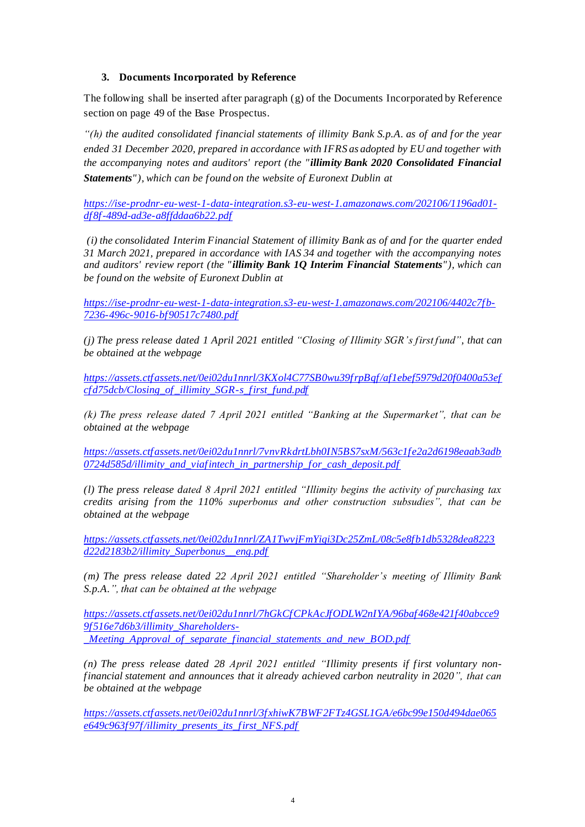### **3. Documents Incorporated by Reference**

The following shall be inserted after paragraph (g) of the Documents Incorporated by Reference section on page 49 of the Base Prospectus.

*"(h) the audited consolidated financial statements of illimity Bank S.p.A. as of and for the year ended 31 December 2020, prepared in accordance with IFRS as adopted by EU and together with the accompanying notes and auditors' report (the "illimity Bank 2020 Consolidated Financial Statements"), which can be found on the website of Euronext Dublin at*

*[https://ise-prodnr-eu-west-1-data-integration.s3-eu-west-1.amazonaws.com/202106/1196ad01](https://ise-prodnr-eu-west-1-data-integration.s3-eu-west-1.amazonaws.com/202106/1196ad01-df8f-489d-ad3e-a8ffddaa6b22.pdf) [df8f-489d-ad3e-a8ffddaa6b22.pdf](https://ise-prodnr-eu-west-1-data-integration.s3-eu-west-1.amazonaws.com/202106/1196ad01-df8f-489d-ad3e-a8ffddaa6b22.pdf)*

*(i) the consolidated Interim Financial Statement of illimity Bank as of and for the quarter ended 31 March 2021, prepared in accordance with IAS 34 and together with the accompanying notes and auditors' review report (the "illimity Bank 1Q Interim Financial Statements"), which can be found on the website of Euronext Dublin at*

*[https://ise-prodnr-eu-west-1-data-integration.s3-eu-west-1.amazonaws.com/202106/4402c7fb-](https://ise-prodnr-eu-west-1-data-integration.s3-eu-west-1.amazonaws.com/202106/4402c7fb-7236-496c-9016-bf90517c7480.pdf)[7236-496c-9016-bf90517c7480.pdf](https://ise-prodnr-eu-west-1-data-integration.s3-eu-west-1.amazonaws.com/202106/4402c7fb-7236-496c-9016-bf90517c7480.pdf)*

*(j) The press release dated 1 April 2021 entitled "Closing of Illimity SGR's first fund", that can be obtained at the webpage*

*[https://assets.ctfassets.net/0ei02du1nnrl/3KXol4C77SB0wu39frpBqf/af1ebef5979d20f0400a53ef](https://assets.ctfassets.net/0ei02du1nnrl/3KXol4C77SB0wu39frpBqf/af1ebef5979d20f0400a53efcfd75dcb/Closing_of_illimity_SGR-s_first_fund.pdf) [cfd75dcb/Closing\\_of\\_illimity\\_SGR-s\\_first\\_fund.pdf](https://assets.ctfassets.net/0ei02du1nnrl/3KXol4C77SB0wu39frpBqf/af1ebef5979d20f0400a53efcfd75dcb/Closing_of_illimity_SGR-s_first_fund.pdf)*

*(k) The press release dated 7 April 2021 entitled "Banking at the Supermarket", that can be obtained at the webpage* 

*[https://assets.ctfassets.net/0ei02du1nnrl/7vnvRkdrtLbh0IN5BS7sxM/563c1fe2a2d6198eaab3adb](https://assets.ctfassets.net/0ei02du1nnrl/7vnvRkdrtLbh0IN5BS7sxM/563c1fe2a2d6198eaab3adb0724d585d/illimity_and_viafintech_in_partnership_for_cash_deposit.pdf) [0724d585d/illimity\\_and\\_viafintech\\_in\\_partnership\\_for\\_cash\\_deposit.pdf](https://assets.ctfassets.net/0ei02du1nnrl/7vnvRkdrtLbh0IN5BS7sxM/563c1fe2a2d6198eaab3adb0724d585d/illimity_and_viafintech_in_partnership_for_cash_deposit.pdf)*

*(l) The press release dated 8 April 2021 entitled "Illimity begins the activity of purchasing tax credits arising from the 110% superbonus and other construction subsudies", that can be obtained at the webpage*

*[https://assets.ctfassets.net/0ei02du1nnrl/ZA1TwvjFmYiqi3Dc25ZmL/08c5e8fb1db5328dea8223](https://assets.ctfassets.net/0ei02du1nnrl/ZA1TwvjFmYiqi3Dc25ZmL/08c5e8fb1db5328dea8223d22d2183b2/illimity_Superbonus__eng.pdf) [d22d2183b2/illimity\\_Superbonus\\_\\_eng.pdf](https://assets.ctfassets.net/0ei02du1nnrl/ZA1TwvjFmYiqi3Dc25ZmL/08c5e8fb1db5328dea8223d22d2183b2/illimity_Superbonus__eng.pdf)*

*(m) The press release dated 22 April 2021 entitled "Shareholder's meeting of Illimity Bank S.p.A.", that can be obtained at the webpage*

*[https://assets.ctfassets.net/0ei02du1nnrl/7hGkCfCPkAcJfODLW2nIYA/96baf468e421f40abcce9](https://assets.ctfassets.net/0ei02du1nnrl/7hGkCfCPkAcJfODLW2nIYA/96baf468e421f40abcce99f516e7d6b3/illimity_Shareholders-_Meeting_Approval_of_separate_financial_statements_and_new_BOD.pdf) [9f516e7d6b3/illimity\\_Shareholders-](https://assets.ctfassets.net/0ei02du1nnrl/7hGkCfCPkAcJfODLW2nIYA/96baf468e421f40abcce99f516e7d6b3/illimity_Shareholders-_Meeting_Approval_of_separate_financial_statements_and_new_BOD.pdf) [\\_Meeting\\_Approval\\_of\\_separate\\_financial\\_statements\\_and\\_new\\_BOD.pdf](https://assets.ctfassets.net/0ei02du1nnrl/7hGkCfCPkAcJfODLW2nIYA/96baf468e421f40abcce99f516e7d6b3/illimity_Shareholders-_Meeting_Approval_of_separate_financial_statements_and_new_BOD.pdf)*

*(n) The press release dated 28 April 2021 entitled "Illimity presents if first voluntary nonfinancial statement and announces that it already achieved carbon neutrality in 2020", that can be obtained at the webpage*

*[https://assets.ctfassets.net/0ei02du1nnrl/3fxhiwK7BWF2FTz4GSL1GA/e6bc99e150d494dae065](https://assets.ctfassets.net/0ei02du1nnrl/3fxhiwK7BWF2FTz4GSL1GA/e6bc99e150d494dae065e649c963f97f/illimity_presents_its_first_NFS.pdf) [e649c963f97f/illimity\\_presents\\_its\\_first\\_NFS.pdf](https://assets.ctfassets.net/0ei02du1nnrl/3fxhiwK7BWF2FTz4GSL1GA/e6bc99e150d494dae065e649c963f97f/illimity_presents_its_first_NFS.pdf)*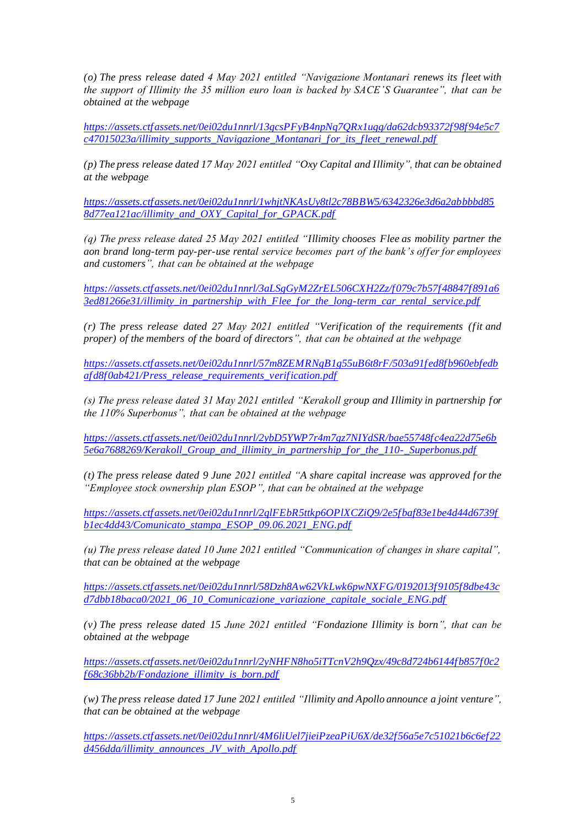*(o) The press release dated 4 May 2021 entitled "Navigazione Montanari renews its fleet with the support of Illimity the 35 million euro loan is backed by SACE'S Guarantee", that can be obtained at the webpage*

*[https://assets.ctfassets.net/0ei02du1nnrl/13gcsPFyB4npNq7QRx1ugg/da62dcb93372f98f94e5c7](https://assets.ctfassets.net/0ei02du1nnrl/13gcsPFyB4npNq7QRx1ugg/da62dcb93372f98f94e5c7c47015023a/illimity_supports_Navigazione_Montanari_for_its_fleet_renewal.pdf) [c47015023a/illimity\\_supports\\_Navigazione\\_Montanari\\_for\\_its\\_fleet\\_renewal.pdf](https://assets.ctfassets.net/0ei02du1nnrl/13gcsPFyB4npNq7QRx1ugg/da62dcb93372f98f94e5c7c47015023a/illimity_supports_Navigazione_Montanari_for_its_fleet_renewal.pdf)*

*(p) The press release dated 17 May 2021 entitled "Oxy Capital and Illimity", that can be obtained at the webpage*

*[https://assets.ctfassets.net/0ei02du1nnrl/1whjtNKAsUy8tl2c78BBW5/6342326e3d6a2abbbbd85](https://assets.ctfassets.net/0ei02du1nnrl/1whjtNKAsUy8tl2c78BBW5/6342326e3d6a2abbbbd858d77ea121ac/illimity_and_OXY_Capital_for_GPACK.pdf) [8d77ea121ac/illimity\\_and\\_OXY\\_Capital\\_for\\_GPACK.pdf](https://assets.ctfassets.net/0ei02du1nnrl/1whjtNKAsUy8tl2c78BBW5/6342326e3d6a2abbbbd858d77ea121ac/illimity_and_OXY_Capital_for_GPACK.pdf)*

*(q) The press release dated 25 May 2021 entitled "Illimity chooses Flee as mobility partner the aon brand long-term pay-per-use rental service becomes part of the bank's offer for employees and customers", that can be obtained at the webpage*

*[https://assets.ctfassets.net/0ei02du1nnrl/3aLSgGyM2ZrEL506CXH2Zz/f079c7b57f48847f891a6](https://assets.ctfassets.net/0ei02du1nnrl/3aLSgGyM2ZrEL506CXH2Zz/f079c7b57f48847f891a63ed81266e31/illimity_in_partnership_with_Flee_for_the_long-term_car_rental_service.pdf) [3ed81266e31/illimity\\_in\\_partnership\\_with\\_Flee\\_for\\_the\\_long-term\\_car\\_rental\\_service.pdf](https://assets.ctfassets.net/0ei02du1nnrl/3aLSgGyM2ZrEL506CXH2Zz/f079c7b57f48847f891a63ed81266e31/illimity_in_partnership_with_Flee_for_the_long-term_car_rental_service.pdf)*

*(r) The press release dated 27 May 2021 entitled "Verification of the requirements (fit and proper) of the members of the board of directors", that can be obtained at the webpage*

*[https://assets.ctfassets.net/0ei02du1nnrl/57m8ZEMRNgB1g55uB6t8rF/503a91fed8fb960ebfedb](https://assets.ctfassets.net/0ei02du1nnrl/57m8ZEMRNgB1g55uB6t8rF/503a91fed8fb960ebfedbafd8f0ab421/Press_release_requirements_verification.pdf) [afd8f0ab421/Press\\_release\\_requirements\\_verification.pdf](https://assets.ctfassets.net/0ei02du1nnrl/57m8ZEMRNgB1g55uB6t8rF/503a91fed8fb960ebfedbafd8f0ab421/Press_release_requirements_verification.pdf)*

*(s) The press release dated 31 May 2021 entitled "Kerakoll group and Illimity in partnership for the 110% Superbonus", that can be obtained at the webpage*

*[https://assets.ctfassets.net/0ei02du1nnrl/2ybD5YWP7r4m7gz7NIYdSR/bae55748fc4ea22d75e6b](https://assets.ctfassets.net/0ei02du1nnrl/2ybD5YWP7r4m7gz7NIYdSR/bae55748fc4ea22d75e6b5e6a7688269/Kerakoll_Group_and_illimity_in_partnership_for_the_110-_Superbonus.pdf) [5e6a7688269/Kerakoll\\_Group\\_and\\_illimity\\_in\\_partnership\\_for\\_the\\_110-\\_Superbonus.pdf](https://assets.ctfassets.net/0ei02du1nnrl/2ybD5YWP7r4m7gz7NIYdSR/bae55748fc4ea22d75e6b5e6a7688269/Kerakoll_Group_and_illimity_in_partnership_for_the_110-_Superbonus.pdf)*

*(t) The press release dated 9 June 2021 entitled "A share capital increase was approved for the "Employee stock ownership plan ESOP", that can be obtained at the webpage*

*[https://assets.ctfassets.net/0ei02du1nnrl/2qlFEbR5ttkp6OPlXCZiQ9/2e5fbaf83e1be4d44d6739f](https://assets.ctfassets.net/0ei02du1nnrl/2qlFEbR5ttkp6OPlXCZiQ9/2e5fbaf83e1be4d44d6739fb1ec4dd43/Comunicato_stampa_ESOP_09.06.2021_ENG.pdf) [b1ec4dd43/Comunicato\\_stampa\\_ESOP\\_09.06.2021\\_ENG.pdf](https://assets.ctfassets.net/0ei02du1nnrl/2qlFEbR5ttkp6OPlXCZiQ9/2e5fbaf83e1be4d44d6739fb1ec4dd43/Comunicato_stampa_ESOP_09.06.2021_ENG.pdf)*

*(u) The press release dated 10 June 2021 entitled "Communication of changes in share capital", that can be obtained at the webpage*

*[https://assets.ctfassets.net/0ei02du1nnrl/58Dzh8Aw62VkLwk6pwNXFG/0192013f9105f8dbe43c](https://assets.ctfassets.net/0ei02du1nnrl/58Dzh8Aw62VkLwk6pwNXFG/0192013f9105f8dbe43cd7dbb18baca0/2021_06_10_Comunicazione_variazione_capitale_sociale_ENG.pdf) [d7dbb18baca0/2021\\_06\\_10\\_Comunicazione\\_variazione\\_capitale\\_sociale\\_ENG.pdf](https://assets.ctfassets.net/0ei02du1nnrl/58Dzh8Aw62VkLwk6pwNXFG/0192013f9105f8dbe43cd7dbb18baca0/2021_06_10_Comunicazione_variazione_capitale_sociale_ENG.pdf)*

*(v) The press release dated 15 June 2021 entitled "Fondazione Illimity is born", that can be obtained at the webpage*

*[https://assets.ctfassets.net/0ei02du1nnrl/2yNHFN8ho5iTTcnV2h9Qzx/49c8d724b6144fb857f0c2](https://assets.ctfassets.net/0ei02du1nnrl/2yNHFN8ho5iTTcnV2h9Qzx/49c8d724b6144fb857f0c2f68c36bb2b/Fondazione_illimity_is_born.pdf) [f68c36bb2b/Fondazione\\_illimity\\_is\\_born.pdf](https://assets.ctfassets.net/0ei02du1nnrl/2yNHFN8ho5iTTcnV2h9Qzx/49c8d724b6144fb857f0c2f68c36bb2b/Fondazione_illimity_is_born.pdf)*

*(w) The press release dated 17 June 2021 entitled "Illimity and Apollo announce a joint venture", that can be obtained at the webpage*

*[https://assets.ctfassets.net/0ei02du1nnrl/4M6liUel7jieiPzeaPiU6X/de32f56a5e7c51021b6c6ef22](https://assets.ctfassets.net/0ei02du1nnrl/4M6liUel7jieiPzeaPiU6X/de32f56a5e7c51021b6c6ef22d456dda/illimity_announces_JV_with_Apollo.pdf) [d456dda/illimity\\_announces\\_JV\\_with\\_Apollo.pdf](https://assets.ctfassets.net/0ei02du1nnrl/4M6liUel7jieiPzeaPiU6X/de32f56a5e7c51021b6c6ef22d456dda/illimity_announces_JV_with_Apollo.pdf)*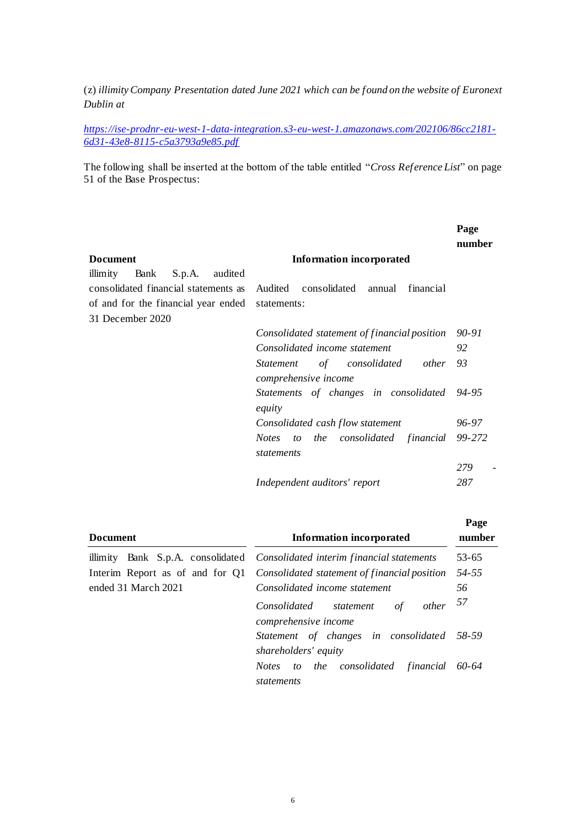(z) *illimity Company Presentation dated June 2021 which can be found on the website of Euronext Dublin at*

*[https://ise-prodnr-eu-west-1-data-integration.s3-eu-west-1.amazonaws.com/202106/86cc2181-](https://ise-prodnr-eu-west-1-data-integration.s3-eu-west-1.amazonaws.com/202106/86cc2181-6d31-43e8-8115-c5a3793a9e85.pdf) [6d31-43e8-8115-c5a3793a9e85.pdf](https://ise-prodnr-eu-west-1-data-integration.s3-eu-west-1.amazonaws.com/202106/86cc2181-6d31-43e8-8115-c5a3793a9e85.pdf)*

The following shall be inserted at the bottom of the table entitled "*Cross Reference List*" on page 51 of the Base Prospectus:

|                                                 |                                                 | Page<br>number |
|-------------------------------------------------|-------------------------------------------------|----------------|
| <b>Document</b>                                 | <b>Information incorporated</b>                 |                |
| illimity<br>Bank<br>S.p.A.<br>audited           |                                                 |                |
| consolidated financial statements as            | Audited consolidated<br>financial<br>annual     |                |
| of and for the financial year ended statements: |                                                 |                |
| 31 December 2020                                |                                                 |                |
|                                                 | Consolidated statement of financial position    | 90-91          |
|                                                 | Consolidated income statement                   | 92             |
|                                                 | of consolidated<br>other<br><i>Statement</i>    | 93             |
|                                                 | comprehensive income                            |                |
|                                                 | Statements of changes in consolidated<br>equity | 94-95          |
|                                                 | Consolidated cash flow statement                | 96-97          |
|                                                 | Notes to the consolidated financial             | 99-272         |
|                                                 | statements                                      |                |
|                                                 |                                                 | 279            |
|                                                 | Independent auditors' report                    | 287            |
|                                                 |                                                 |                |
|                                                 |                                                 | Page           |

| <b>Document</b>     | <b>Information incorporated</b>                                                     | r age<br>number |  |
|---------------------|-------------------------------------------------------------------------------------|-----------------|--|
|                     | illimity Bank S.p.A. consolidated <i>Consolidated interim financial statements</i>  | $53 - 65$       |  |
|                     | Interim Report as of and for Q1 <i>Consolidated statement of financial position</i> | $54 - 55$       |  |
| ended 31 March 2021 | Consolidated income statement                                                       | 56              |  |
|                     | $other$ 57<br>$\sigma f$<br>Consolidated statement<br>comprehensive income          |                 |  |
|                     | Statement of changes in consolidated 58-59<br>shareholders' equity                  |                 |  |
|                     | Notes to the consolidated financial<br>statements                                   | 60-64           |  |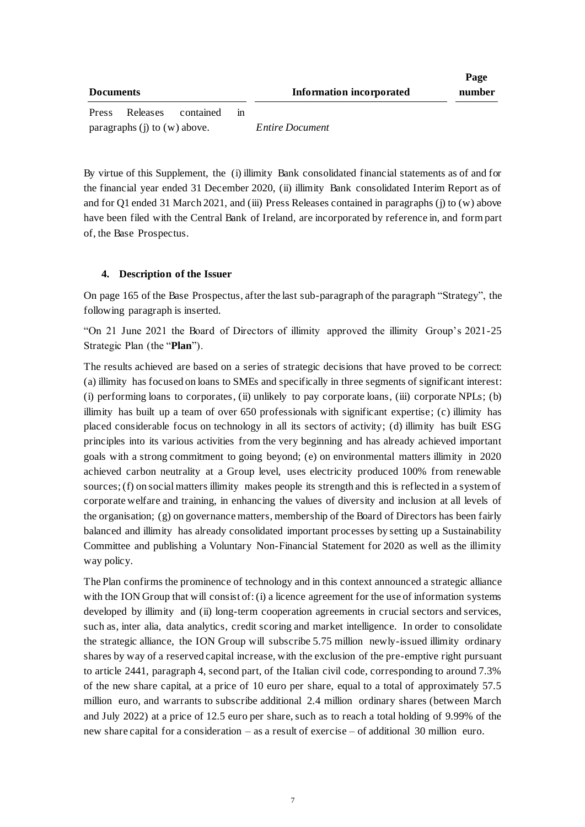| <b>Documents</b>                 |          |           |    | Information incorporated | Page<br>number |
|----------------------------------|----------|-----------|----|--------------------------|----------------|
| Press                            | Releases | contained | 1n |                          |                |
| paragraphs $(i)$ to $(w)$ above. |          |           |    | <b>Entire Document</b>   |                |

By virtue of this Supplement, the (i) illimity Bank consolidated financial statements as of and for the financial year ended 31 December 2020, (ii) illimity Bank consolidated Interim Report as of and for Q1 ended 31 March 2021, and (iii) Press Releases contained in paragraphs (j) to (w) above have been filed with the Central Bank of Ireland, are incorporated by reference in, and form part of, the Base Prospectus.

### **4. Description of the Issuer**

On page 165 of the Base Prospectus, after the last sub-paragraph of the paragraph "Strategy", the following paragraph is inserted.

"On 21 June 2021 the Board of Directors of illimity approved the illimity Group's 2021-25 Strategic Plan (the "**Plan**").

The results achieved are based on a series of strategic decisions that have proved to be correct: (a) illimity has focused on loans to SMEs and specifically in three segments of significant interest: (i) performing loans to corporates, (ii) unlikely to pay corporate loans, (iii) corporate NPLs; (b) illimity has built up a team of over 650 professionals with significant expertise; (c) illimity has placed considerable focus on technology in all its sectors of activity; (d) illimity has built ESG principles into its various activities from the very beginning and has already achieved important goals with a strong commitment to going beyond; (e) on environmental matters illimity in 2020 achieved carbon neutrality at a Group level, uses electricity produced 100% from renewable sources; (f) on social matters illimity makes people its strength and this is reflected in a system of corporate welfare and training, in enhancing the values of diversity and inclusion at all levels of the organisation; (g) on governance matters, membership of the Board of Directors has been fairly balanced and illimity has already consolidated important processes by setting up a Sustainability Committee and publishing a Voluntary Non-Financial Statement for 2020 as well as the illimity way policy.

The Plan confirms the prominence of technology and in this context announced a strategic alliance with the ION Group that will consist of: (i) a licence agreement for the use of information systems developed by illimity and (ii) long-term cooperation agreements in crucial sectors and services, such as, inter alia, data analytics, credit scoring and market intelligence. In order to consolidate the strategic alliance, the ION Group will subscribe 5.75 million newly-issued illimity ordinary shares by way of a reserved capital increase, with the exclusion of the pre-emptive right pursuant to article 2441, paragraph 4, second part, of the Italian civil code, corresponding to around 7.3% of the new share capital, at a price of 10 euro per share, equal to a total of approximately 57.5 million euro, and warrants to subscribe additional 2.4 million ordinary shares (between March and July 2022) at a price of 12.5 euro per share, such as to reach a total holding of 9.99% of the new share capital for a consideration – as a result of exercise – of additional 30 million euro.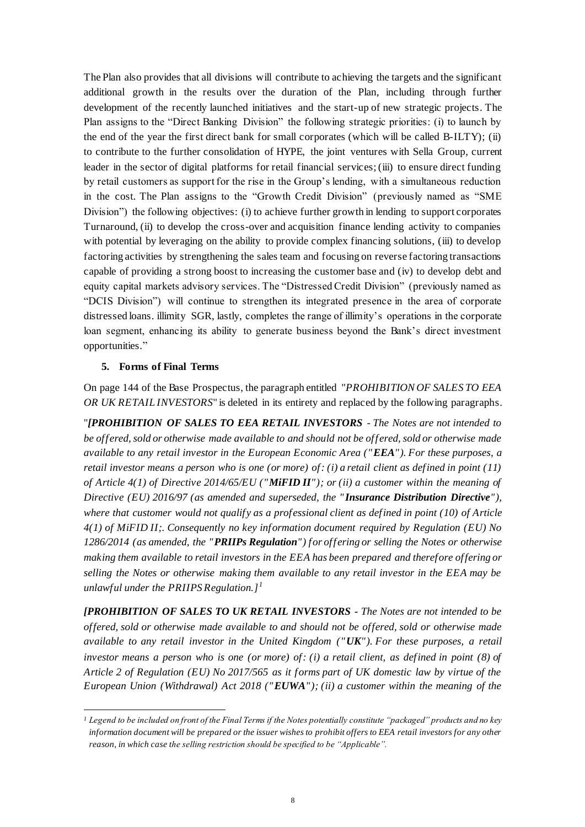The Plan also provides that all divisions will contribute to achieving the targets and the significant additional growth in the results over the duration of the Plan, including through further development of the recently launched initiatives and the start-up of new strategic projects. The Plan assigns to the "Direct Banking Division" the following strategic priorities: (i) to launch by the end of the year the first direct bank for small corporates (which will be called B-ILTY); (ii) to contribute to the further consolidation of HYPE, the joint ventures with Sella Group, current leader in the sector of digital platforms for retail financial services; (iii) to ensure direct funding by retail customers as support for the rise in the Group's lending, with a simultaneous reduction in the cost. The Plan assigns to the "Growth Credit Division" (previously named as "SME Division") the following objectives: (i) to achieve further growth in lending to support corporates Turnaround, (ii) to develop the cross-over and acquisition finance lending activity to companies with potential by leveraging on the ability to provide complex financing solutions, (iii) to develop factoring activities by strengthening the sales team and focusing on reverse factoring transactions capable of providing a strong boost to increasing the customer base and (iv) to develop debt and equity capital markets advisory services. The "Distressed Credit Division" (previously named as "DCIS Division") will continue to strengthen its integrated presence in the area of corporate distressed loans. illimity SGR, lastly, completes the range of illimity's operations in the corporate loan segment, enhancing its ability to generate business beyond the Bank's direct investment opportunities."

#### **5. Forms of Final Terms**

 $\overline{a}$ 

On page 144 of the Base Prospectus, the paragraph entitled "*PROHIBITION OF SALES TO EEA OR UK RETAIL INVESTORS*" is deleted in its entirety and replaced by the following paragraphs.

"*[PROHIBITION OF SALES TO EEA RETAIL INVESTORS - The Notes are not intended to be offered, sold or otherwise made available to and should not be offered, sold or otherwise made available to any retail investor in the European Economic Area ("EEA"). For these purposes, a retail investor means a person who is one (or more) of: (i) a retail client as defined in point (11) of Article 4(1) of Directive 2014/65/EU ("MiFID II"); or (ii) a customer within the meaning of Directive (EU) 2016/97 (as amended and superseded, the " Insurance Distribution Directive"), where that customer would not qualify as a professional client as defined in point (10) of Article 4(1) of MiFID II;. Consequently no key information document required by Regulation (EU) No 1286/2014 (as amended, the "PRIIPs Regulation") for offering or selling the Notes or otherwise making them available to retail investors in the EEA has been prepared and therefore offering or selling the Notes or otherwise making them available to any retail investor in the EEA may be unlawful under the PRIIPS Regulation.]<sup>1</sup>*

*[PROHIBITION OF SALES TO UK RETAIL INVESTORS - The Notes are not intended to be offered, sold or otherwise made available to and should not be offered, sold or otherwise made available to any retail investor in the United Kingdom ("UK"). For these purposes, a retail investor means a person who is one (or more) of: (i) a retail client, as defined in point (8) of Article 2 of Regulation (EU) No 2017/565 as it forms part of UK domestic law by virtue of the European Union (Withdrawal) Act 2018 ("EUWA"); (ii) a customer within the meaning of the* 

*<sup>1</sup> Legend to be included on front of the Final Terms if the Notes potentially constitute "packaged" products and no key information document will be prepared or the issuer wishes to prohibit offers to EEA retail investors for any other reason, in which case the selling restriction should be specified to be "Applicable".*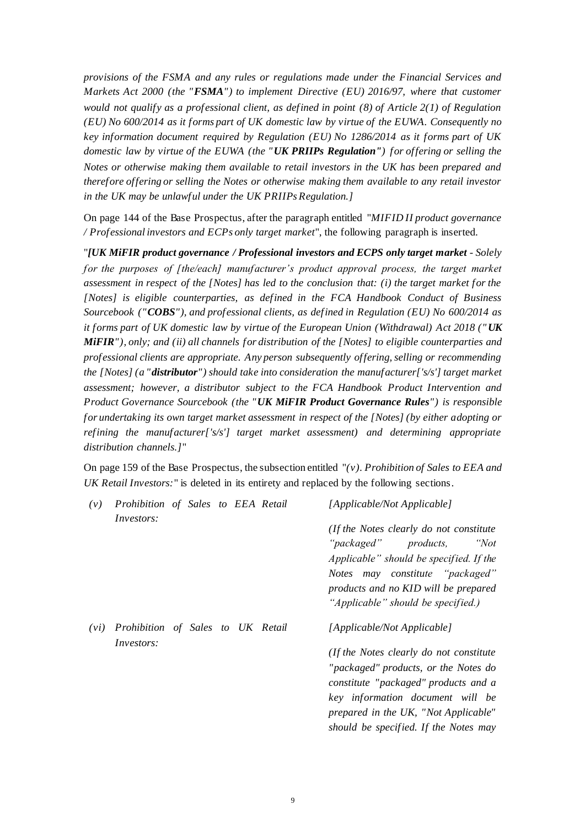*provisions of the FSMA and any rules or regulations made under the Financial Services and Markets Act 2000 (the "FSMA") to implement Directive (EU) 2016/97, where that customer would not qualify as a professional client, as defined in point (8) of Article 2(1) of Regulation (EU) No 600/2014 as it forms part of UK domestic law by virtue of the EUWA. Consequently no key information document required by Regulation (EU) No 1286/2014 as it forms part of UK domestic law by virtue of the EUWA (the "UK PRIIPs Regulation") for offering or selling the Notes or otherwise making them available to retail investors in the UK has been prepared and therefore offering or selling the Notes or otherwise making them available to any retail investor in the UK may be unlawful under the UK PRIIPs Regulation.]*

On page 144 of the Base Prospectus, after the paragraph entitled "*MIFID II product governance / Professional investors and ECPs only target market*", the following paragraph is inserted.

"*[UK MiFIR product governance / Professional investors and ECPS only target market - Solely for the purposes of [the/each] manufacturer's product approval process, the target market assessment in respect of the [Notes] has led to the conclusion that: (i) the target market for the [Notes] is eligible counterparties, as defined in the FCA Handbook Conduct of Business Sourcebook ("COBS"), and professional clients, as defined in Regulation (EU) No 600/2014 as it forms part of UK domestic law by virtue of the European Union (Withdrawal) Act 2018 ("UK MiFIR"), only; and (ii) all channels for distribution of the [Notes] to eligible counterparties and professional clients are appropriate. Any person subsequently offering, selling or recommending the [Notes] (a "distributor") should take into consideration the manufacturer['s/s'] target market assessment; however, a distributor subject to the FCA Handbook Product Intervention and Product Governance Sourcebook (the "UK MiFIR Product Governance Rules") is responsible for undertaking its own target market assessment in respect of the [Notes] (by either adopting or refining the manufacturer['s/s'] target market assessment) and determining appropriate distribution channels.]*"

On page 159 of the Base Prospectus, the subsection entitled "*(v). Prohibition of Sales to EEA and UK Retail Investors:*" is deleted in its entirety and replaced by the following sections.

| (v)  | Prohibition of Sales to EEA Retail                     |  |  | [Applicable/Not Applicable]                                                                                                                                                                                                                                                  |
|------|--------------------------------------------------------|--|--|------------------------------------------------------------------------------------------------------------------------------------------------------------------------------------------------------------------------------------------------------------------------------|
|      | <i>Investors:</i>                                      |  |  | (If the Notes clearly do not constitute)<br>"packaged" products,<br>"Not"<br>Applicable" should be specified. If the<br>Notes may constitute "packaged"<br>products and no KID will be prepared<br>"Applicable" should be specified.)                                        |
| (vi) | Prohibition of Sales to UK Retail<br><i>Investors:</i> |  |  | [Applicable/Not Applicable]<br>(If the Notes clearly do not constitute)<br>"packaged" products, or the Notes do<br>constitute "packaged" products and a<br>key information document will be<br>prepared in the UK, "Not Applicable"<br>should be specified. If the Notes may |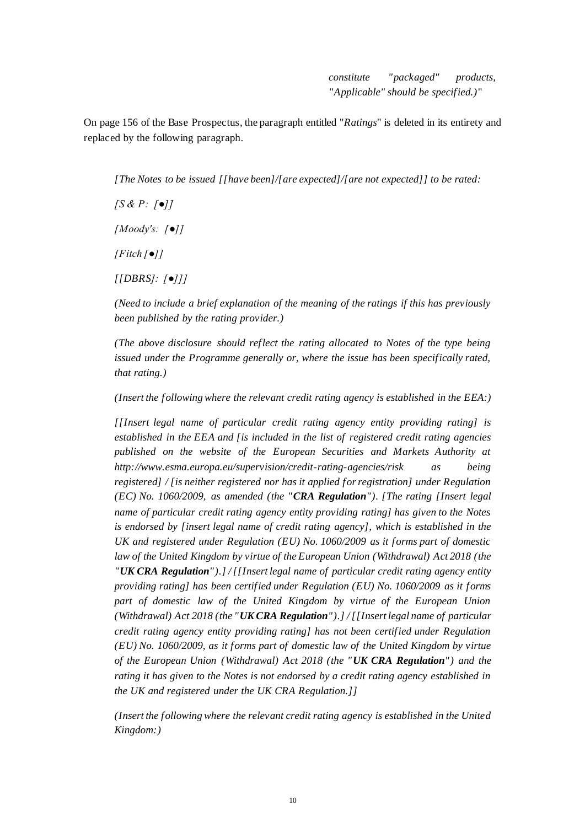*constitute "packaged" products, "Applicable" should be specified.)*"

On page 156 of the Base Prospectus, the paragraph entitled "*Ratings*" is deleted in its entirety and replaced by the following paragraph.

*[The Notes to be issued [[have been]/[are expected]/[are not expected]] to be rated:*

*[S & P: [●]] [Moody's: [●]] [Fitch [●]]*

*[[DBRS]: [●]]]*

*(Need to include a brief explanation of the meaning of the ratings if this has previously been published by the rating provider.)*

*(The above disclosure should reflect the rating allocated to Notes of the type being issued under the Programme generally or, where the issue has been specifically rated, that rating.)*

*(Insert the following where the relevant credit rating agency is established in the EEA:)*

*[[Insert legal name of particular credit rating agency entity providing rating] is established in the EEA and [is included in the list of registered credit rating agencies published on the website of the European Securities and Markets Authority at http://www.esma.europa.eu/supervision/credit-rating-agencies/risk as being registered] / [is neither registered nor has it applied for registration] under Regulation (EC) No. 1060/2009, as amended (the "CRA Regulation"). [The rating [Insert legal name of particular credit rating agency entity providing rating] has given to the Notes is endorsed by [insert legal name of credit rating agency], which is established in the UK and registered under Regulation (EU) No. 1060/2009 as it forms part of domestic law of the United Kingdom by virtue of the European Union (Withdrawal) Act 2018 (the "UK CRA Regulation").] / [[Insert legal name of particular credit rating agency entity providing rating] has been certified under Regulation (EU) No. 1060/2009 as it forms part of domestic law of the United Kingdom by virtue of the European Union (Withdrawal) Act 2018 (the "UK CRA Regulation").] / [[Insert legal name of particular credit rating agency entity providing rating] has not been certified under Regulation (EU) No. 1060/2009, as it forms part of domestic law of the United Kingdom by virtue of the European Union (Withdrawal) Act 2018 (the "UK CRA Regulation") and the rating it has given to the Notes is not endorsed by a credit rating agency established in the UK and registered under the UK CRA Regulation.]]*

*(Insert the following where the relevant credit rating agency is established in the United Kingdom:)*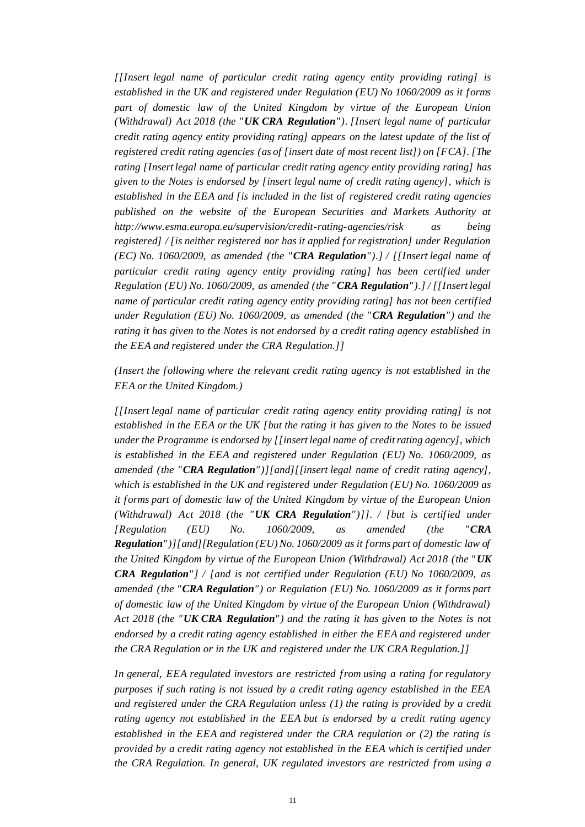*[[Insert legal name of particular credit rating agency entity providing rating] is established in the UK and registered under Regulation (EU) No 1060/2009 as it forms part of domestic law of the United Kingdom by virtue of the European Union (Withdrawal) Act 2018 (the "UK CRA Regulation"). [Insert legal name of particular credit rating agency entity providing rating] appears on the latest update of the list of registered credit rating agencies (as of [insert date of most recent list]) on [FCA]. [The rating [Insert legal name of particular credit rating agency entity providing rating] has given to the Notes is endorsed by [insert legal name of credit rating agency], which is established in the EEA and [is included in the list of registered credit rating agencies published on the website of the European Securities and Markets Authority at http://www.esma.europa.eu/supervision/credit-rating-agencies/risk as being registered] / [is neither registered nor has it applied for registration] under Regulation (EC) No. 1060/2009, as amended (the "CRA Regulation").] / [[Insert legal name of particular credit rating agency entity providing rating] has been certified under Regulation (EU) No. 1060/2009, as amended (the "CRA Regulation").] / [[Insert legal name of particular credit rating agency entity providing rating] has not been certified under Regulation (EU) No. 1060/2009, as amended (the "CRA Regulation") and the rating it has given to the Notes is not endorsed by a credit rating agency established in the EEA and registered under the CRA Regulation.]]*

*(Insert the following where the relevant credit rating agency is not established in the EEA or the United Kingdom.)*

*[[Insert legal name of particular credit rating agency entity providing rating] is not established in the EEA or the UK [but the rating it has given to the Notes to be issued under the Programme is endorsed by [[insert legal name of credit rating agency], which is established in the EEA and registered under Regulation (EU) No. 1060/2009, as amended (the "CRA Regulation")][and][[insert legal name of credit rating agency], which is established in the UK and registered under Regulation (EU) No. 1060/2009 as it forms part of domestic law of the United Kingdom by virtue of the European Union (Withdrawal) Act 2018 (the "UK CRA Regulation")]]. / [but is certified under [Regulation (EU) No. 1060/2009, as amended (the "CRA Regulation")][and][Regulation (EU) No. 1060/2009 as it forms part of domestic law of the United Kingdom by virtue of the European Union (Withdrawal) Act 2018 (the "UK CRA Regulation"] / [and is not certified under Regulation (EU) No 1060/2009, as amended (the "CRA Regulation") or Regulation (EU) No. 1060/2009 as it forms part of domestic law of the United Kingdom by virtue of the European Union (Withdrawal) Act 2018 (the "UK CRA Regulation") and the rating it has given to the Notes is not endorsed by a credit rating agency established in either the EEA and registered under the CRA Regulation or in the UK and registered under the UK CRA Regulation.]]*

*In general, EEA regulated investors are restricted from using a rating for regulatory purposes if such rating is not issued by a credit rating agency established in the EEA and registered under the CRA Regulation unless (1) the rating is provided by a credit rating agency not established in the EEA but is endorsed by a credit rating agency established in the EEA and registered under the CRA regulation or (2) the rating is provided by a credit rating agency not established in the EEA which is certified under the CRA Regulation. In general, UK regulated investors are restricted from using a*